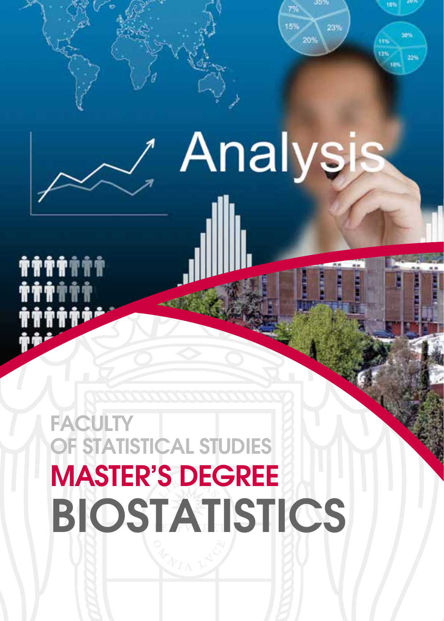

# **Analysis**

**THTTTTT TTT** 

## **FACULTY** OF STATISTICAL STUDIES MASTER'S DEGREE BIOSTATISTICS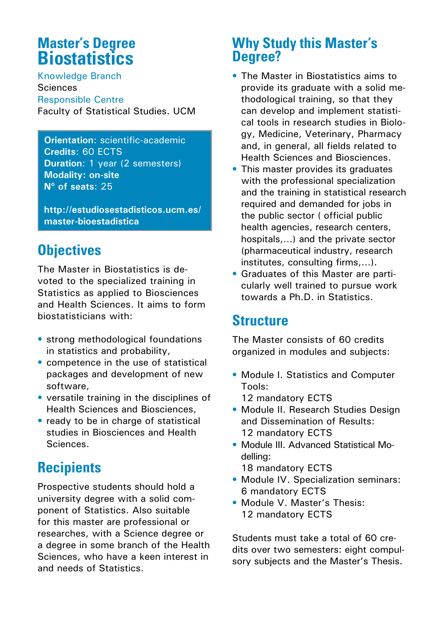#### **Master's Degree Biostatistics**

Knowledge Branch Sciences Responsible Centre Faculty of Statistical Studies. UCM

**Orientation**: scientific-academic **Credits**: 60 ECTS **Duration**: 1 year (2 semesters) **Modality: on-site Nº of seats**: 25

**http://estudiosestadisticos.ucm.es/ master-bioestadistica**

#### **Objectives**

The Master in Biostatistics is devoted to the specialized training in Statistics as applied to Biosciences and Health Sciences. It aims to form biostatisticians with:

- strong methodological foundations in statistics and probability,
- competence in the use of statistical packages and development of new software,
- versatile training in the disciplines of Health Sciences and Biosciences,
- ready to be in charge of statistical studies in Biosciences and Health Sciences.

### **Recipients**

Prospective students should hold a university degree with a solid component of Statistics. Also suitable for this master are professional or researches, with a Science degree or a degree in some branch of the Health Sciences, who have a keen interest in and needs of Statistics.

#### **Why Study this Master's Degree?**

- The Master in Biostatistics aims to provide its graduate with a solid methodological training, so that they can develop and implement statistical tools in research studies in Biology, Medicine, Veterinary, Pharmacy and, in general, all fields related to Health Sciences and Biosciences.
- This master provides its graduates with the professional specialization and the training in statistical research required and demanded for jobs in the public sector ( official public health agencies, research centers, hospitals,…) and the private sector (pharmaceutical industry, research institutes, consulting firms,…).
- Graduates of this Master are particularly well trained to pursue work towards a Ph.D. in Statistics.

#### **Structure**

The Master consists of 60 credits organized in modules and subjects:

• Module I. Statistics and Computer Tools:

12 mandatory ECTS

- Module II. Research Studies Design and Dissemination of Results: 12 mandatory ECTS
- Module III. Advanced Statistical Modelling:
	- 18 mandatory ECTS
- Module IV. Specialization seminars: 6 mandatory ECTS
- Module V. Master's Thesis: 12 mandatory ECTS

Students must take a total of 60 credits over two semesters: eight compulsory subjects and the Master's Thesis.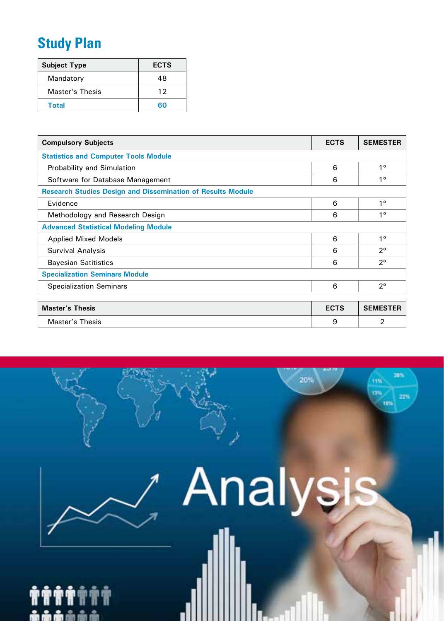### **Study Plan**

| <b>Subject Type</b> | <b>ECTS</b> |
|---------------------|-------------|
| Mandatory           | 48          |
| Master's Thesis     | 12          |
| Total               | ഭറ          |

| <b>Compulsory Subjects</b>                                         | <b>ECTS</b> | <b>SEMESTER</b> |
|--------------------------------------------------------------------|-------------|-----------------|
| <b>Statistics and Computer Tools Module</b>                        |             |                 |
| Probability and Simulation                                         | 6           | $1^{\circ}$     |
| Software for Database Management                                   | 6           | 1 <sup>°</sup>  |
| <b>Research Studies Design and Dissemination of Results Module</b> |             |                 |
| Evidence                                                           | 6           | 1 <sup>0</sup>  |
| Methodology and Research Design                                    | 6           | 1 <sup>0</sup>  |
| <b>Advanced Statistical Modeling Module</b>                        |             |                 |
| <b>Applied Mixed Models</b>                                        | 6           | 1 <sup>0</sup>  |
| <b>Survival Analysis</b>                                           | 6           | 20              |
| <b>Bayesian Satitistics</b>                                        | 6           | 20              |
| <b>Specialization Seminars Module</b>                              |             |                 |
| <b>Specialization Seminars</b>                                     | 6           | $2^{\circ}$     |
|                                                                    |             |                 |
| <b>Master's Thesis</b>                                             | <b>ECTS</b> | <b>SEMESTER</b> |
| Master's Thesis                                                    | 9           | 2               |